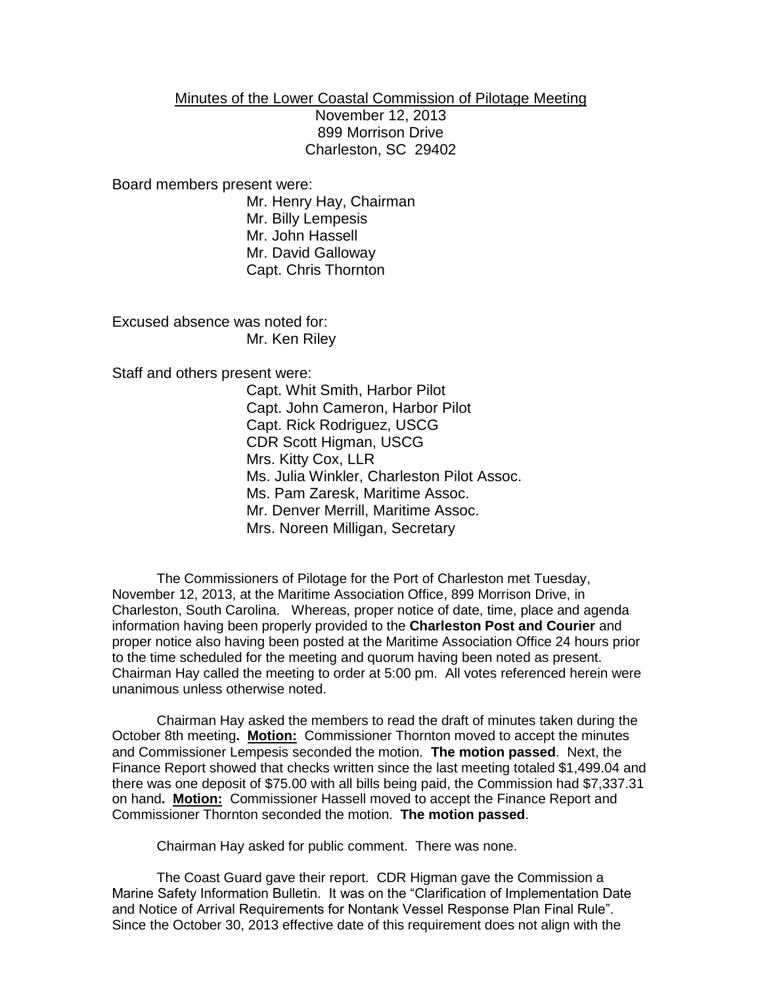## Minutes of the Lower Coastal Commission of Pilotage Meeting

November 12, 2013 899 Morrison Drive Charleston, SC 29402

Board members present were:

Mr. Henry Hay, Chairman Mr. Billy Lempesis Mr. John Hassell Mr. David Galloway Capt. Chris Thornton

Excused absence was noted for: Mr. Ken Riley

Staff and others present were:

Capt. Whit Smith, Harbor Pilot Capt. John Cameron, Harbor Pilot Capt. Rick Rodriguez, USCG CDR Scott Higman, USCG Mrs. Kitty Cox, LLR Ms. Julia Winkler, Charleston Pilot Assoc. Ms. Pam Zaresk, Maritime Assoc. Mr. Denver Merrill, Maritime Assoc. Mrs. Noreen Milligan, Secretary

The Commissioners of Pilotage for the Port of Charleston met Tuesday, November 12, 2013, at the Maritime Association Office, 899 Morrison Drive, in Charleston, South Carolina. Whereas, proper notice of date, time, place and agenda information having been properly provided to the **Charleston Post and Courier** and proper notice also having been posted at the Maritime Association Office 24 hours prior to the time scheduled for the meeting and quorum having been noted as present. Chairman Hay called the meeting to order at 5:00 pm. All votes referenced herein were unanimous unless otherwise noted.

Chairman Hay asked the members to read the draft of minutes taken during the October 8th meeting**. Motion:** Commissioner Thornton moved to accept the minutes and Commissioner Lempesis seconded the motion. **The motion passed**. Next, the Finance Report showed that checks written since the last meeting totaled \$1,499.04 and there was one deposit of \$75.00 with all bills being paid, the Commission had \$7,337.31 on hand**. Motion:** Commissioner Hassell moved to accept the Finance Report and Commissioner Thornton seconded the motion. **The motion passed**.

Chairman Hay asked for public comment. There was none.

The Coast Guard gave their report. CDR Higman gave the Commission a Marine Safety Information Bulletin. It was on the "Clarification of Implementation Date and Notice of Arrival Requirements for Nontank Vessel Response Plan Final Rule". Since the October 30, 2013 effective date of this requirement does not align with the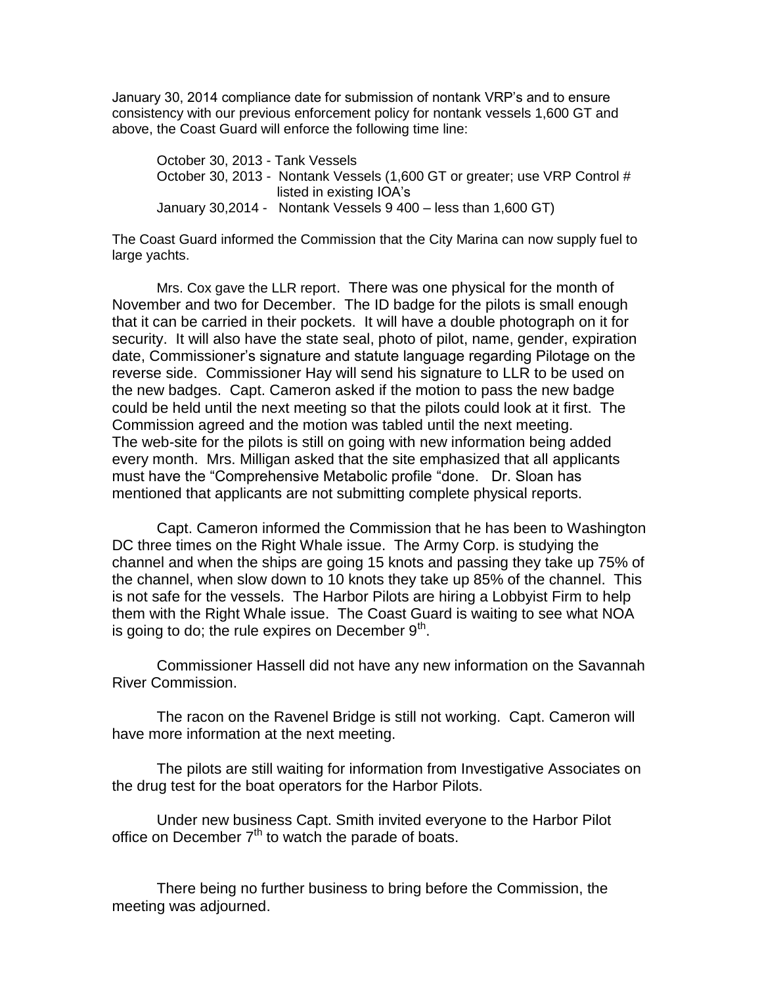January 30, 2014 compliance date for submission of nontank VRP's and to ensure consistency with our previous enforcement policy for nontank vessels 1,600 GT and above, the Coast Guard will enforce the following time line:

October 30, 2013 - Tank Vessels October 30, 2013 - Nontank Vessels (1,600 GT or greater; use VRP Control # listed in existing IOA's January 30,2014 - Nontank Vessels 9 400 – less than 1,600 GT)

The Coast Guard informed the Commission that the City Marina can now supply fuel to large yachts.

Mrs. Cox gave the LLR report. There was one physical for the month of November and two for December. The ID badge for the pilots is small enough that it can be carried in their pockets. It will have a double photograph on it for security. It will also have the state seal, photo of pilot, name, gender, expiration date, Commissioner's signature and statute language regarding Pilotage on the reverse side. Commissioner Hay will send his signature to LLR to be used on the new badges. Capt. Cameron asked if the motion to pass the new badge could be held until the next meeting so that the pilots could look at it first. The Commission agreed and the motion was tabled until the next meeting. The web-site for the pilots is still on going with new information being added every month. Mrs. Milligan asked that the site emphasized that all applicants must have the "Comprehensive Metabolic profile "done. Dr. Sloan has mentioned that applicants are not submitting complete physical reports.

Capt. Cameron informed the Commission that he has been to Washington DC three times on the Right Whale issue. The Army Corp. is studying the channel and when the ships are going 15 knots and passing they take up 75% of the channel, when slow down to 10 knots they take up 85% of the channel. This is not safe for the vessels. The Harbor Pilots are hiring a Lobbyist Firm to help them with the Right Whale issue. The Coast Guard is waiting to see what NOA is going to do; the rule expires on December  $9<sup>th</sup>$ .

Commissioner Hassell did not have any new information on the Savannah River Commission.

The racon on the Ravenel Bridge is still not working. Capt. Cameron will have more information at the next meeting.

The pilots are still waiting for information from Investigative Associates on the drug test for the boat operators for the Harbor Pilots.

Under new business Capt. Smith invited everyone to the Harbor Pilot office on December  $7<sup>th</sup>$  to watch the parade of boats.

There being no further business to bring before the Commission, the meeting was adjourned.